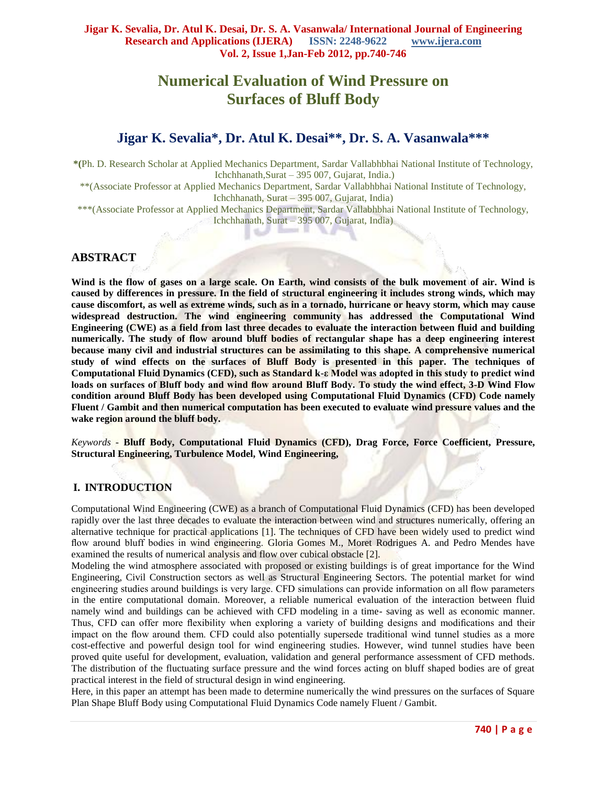# **Numerical Evaluation of Wind Pressure on Surfaces of Bluff Body**

# **Jigar K. Sevalia\*, Dr. Atul K. Desai\*\*, Dr. S. A. Vasanwala\*\*\***

**\*(**Ph. D. Research Scholar at Applied Mechanics Department, Sardar Vallabhbhai National Institute of Technology, Ichchhanath,Surat – 395 007, Gujarat, India.)

\*\*(Associate Professor at Applied Mechanics Department, Sardar Vallabhbhai National Institute of Technology, Ichchhanath, Surat – 395 007, Gujarat, India)

\*\*\*(Associate Professor at Applied Mechanics Department, Sardar Vallabhbhai National Institute of Technology, Ichchhanath, Surat – 395 007, Gujarat, India) ae 14

s.

## **ABSTRACT**

**Wind is the [flow](http://en.wikipedia.org/wiki/Flux) of [gases](http://en.wikipedia.org/wiki/Gas) on a large scale. On [Earth,](http://en.wikipedia.org/wiki/Earth) wind consists of the bulk movement of air. Wind is caused by differences in pressure. In the field of [structural engineering](http://en.wikipedia.org/wiki/Structural_engineering) it includes strong winds, which may cause discomfort, as well as extreme winds, such as in a [tornado,](http://en.wikipedia.org/wiki/Tornado) [hurricane](http://en.wikipedia.org/wiki/Hurricane) or [heavy storm,](http://en.wikipedia.org/w/index.php?title=Heavy_storm&action=edit&redlink=1) which may cause widespread destruction. The wind engineering community has addressed the Computational Wind Engineering (CWE) as a field from last three decades to evaluate the interaction between fluid and building numerically. The study of flow around bluff bodies of rectangular shape has a deep engineering interest because many civil and industrial structures can be assimilating to this shape. A comprehensive numerical study of wind effects on the surfaces of Bluff Body is presented in this paper. The techniques of Computational Fluid Dynamics (CFD), such as Standard k-ε Model was adopted in this study to predict wind loads on surfaces of Bluff body and wind flow around Bluff Body. To study the wind effect, 3-D Wind Flow condition around Bluff Body has been developed using Computational Fluid Dynamics (CFD) Code namely Fluent / Gambit and then numerical computation has been executed to evaluate wind pressure values and the wake region around the bluff body.**

*Keywords -* **Bluff Body, Computational Fluid Dynamics (CFD), Drag Force, Force Coefficient, Pressure, Structural Engineering, Turbulence Model, Wind Engineering,**

#### **I. INTRODUCTION**

Computational Wind Engineering (CWE) as a branch of Computational Fluid Dynamics (CFD) has been developed rapidly over the last three decades to evaluate the interaction between wind and structures numerically, offering an alternative technique for practical applications [1]. The techniques of CFD have been widely used to predict wind flow around bluff bodies in wind engineering. Gloria Gomes M., Moret Rodrigues A. and Pedro Mendes have examined the results of numerical analysis and flow over cubical obstacle [2].

Modeling the wind atmosphere associated with proposed or existing buildings is of great importance for the Wind Engineering, Civil Construction sectors as well as Structural Engineering Sectors. The potential market for wind engineering studies around buildings is very large. CFD simulations can provide information on all flow parameters in the entire computational domain. Moreover, a reliable numerical evaluation of the interaction between fluid namely wind and buildings can be achieved with CFD modeling in a time- saving as well as economic manner. Thus, CFD can offer more flexibility when exploring a variety of building designs and modifications and their impact on the flow around them. CFD could also potentially supersede traditional wind tunnel studies as a more cost-effective and powerful design tool for wind engineering studies. However, wind tunnel studies have been proved quite useful for development, evaluation, validation and general performance assessment of CFD methods. The distribution of the fluctuating surface pressure and the wind forces acting on bluff shaped bodies are of great practical interest in the field of structural design in wind engineering.

Here, in this paper an attempt has been made to determine numerically the wind pressures on the surfaces of Square Plan Shape Bluff Body using Computational Fluid Dynamics Code namely Fluent / Gambit.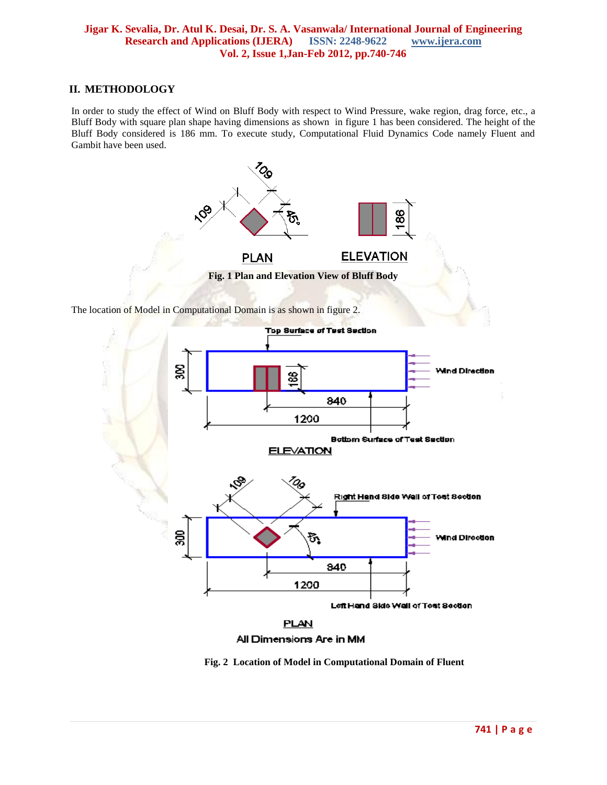#### **II. METHODOLOGY**

In order to study the effect of Wind on Bluff Body with respect to Wind Pressure, wake region, drag force, etc., a Bluff Body with square plan shape having dimensions as shown in figure 1 has been considered. The height of the Bluff Body considered is 186 mm. To execute study, Computational Fluid Dynamics Code namely Fluent and Gambit have been used.



The location of Model in Computational Domain is as shown in figure 2.



**Fig. 2 Location of Model in Computational Domain of Fluent**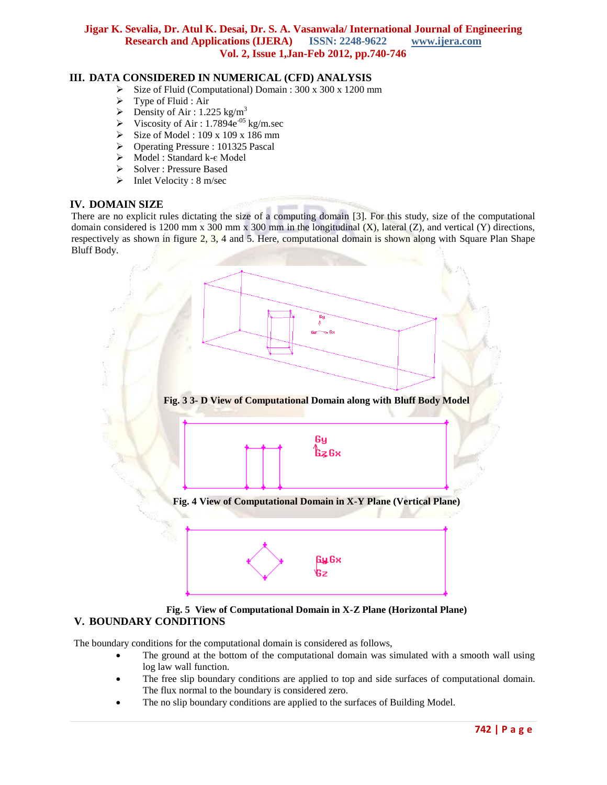## **III. DATA CONSIDERED IN NUMERICAL (CFD) ANALYSIS**

- Size of Fluid (Computational) Domain : 300 x 300 x 1200 mm
- $\triangleright$  Type of Fluid : Air
- P Density of Air:  $1.225 \text{ kg/m}^3$
- Viscosity of Air : 1.7894 $e^{-0.5}$  kg/m.sec
- Size of Model : 109 x 109 x 186 mm
- Operating Pressure : 101325 Pascal
- Model : Standard k-є Model
- Solver : Pressure Based
- $\triangleright$  Inlet Velocity : 8 m/sec

#### **IV. DOMAIN SIZE**

There are no explicit rules dictating the size of a computing domain [3]. For this study, size of the computational domain considered is 1200 mm x 300 mm x 300 mm in the longitudinal  $(X)$ , lateral  $(Z)$ , and vertical  $(Y)$  directions, respectively as shown in figure 2, 3, 4 and 5. Here, computational domain is shown along with Square Plan Shape Bluff Body.



#### **Fig. 5 View of Computational Domain in X-Z Plane (Horizontal Plane) V. BOUNDARY CONDITIONS**

The boundary conditions for the computational domain is considered as follows,

- The ground at the bottom of the computational domain was simulated with a smooth wall using log law wall function.
- The free slip boundary conditions are applied to top and side surfaces of computational domain. The flux normal to the boundary is considered zero.
- The no slip boundary conditions are applied to the surfaces of Building Model.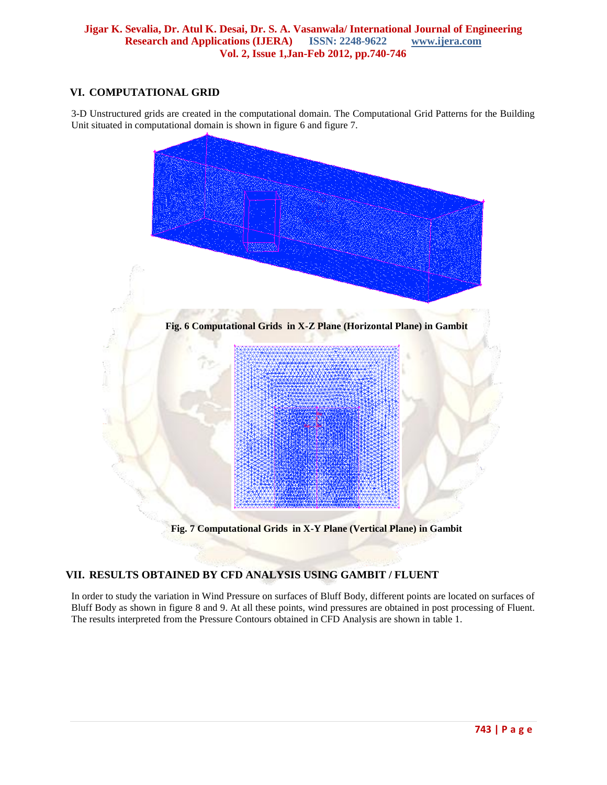# **VI. COMPUTATIONAL GRID**

3-D Unstructured grids are created in the computational domain. The Computational Grid Patterns for the Building Unit situated in computational domain is shown in figure 6 and figure 7.



# **Fig. 7 Computational Grids in X-Y Plane (Vertical Plane) in Gambit**

# **VII. RESULTS OBTAINED BY CFD ANALYSIS USING GAMBIT / FLUENT**

In order to study the variation in Wind Pressure on surfaces of Bluff Body, different points are located on surfaces of Bluff Body as shown in figure 8 and 9. At all these points, wind pressures are obtained in post processing of Fluent. The results interpreted from the Pressure Contours obtained in CFD Analysis are shown in table 1.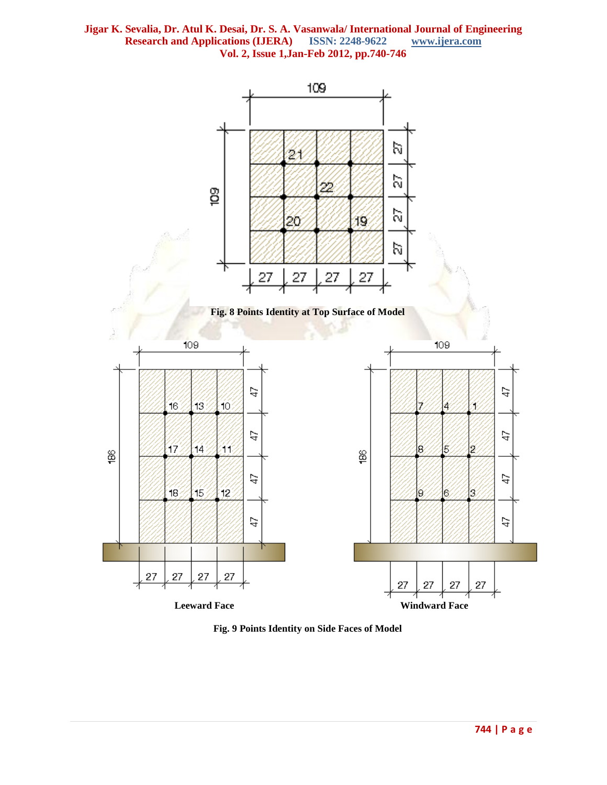

**Fig. 9 Points Identity on Side Faces of Model**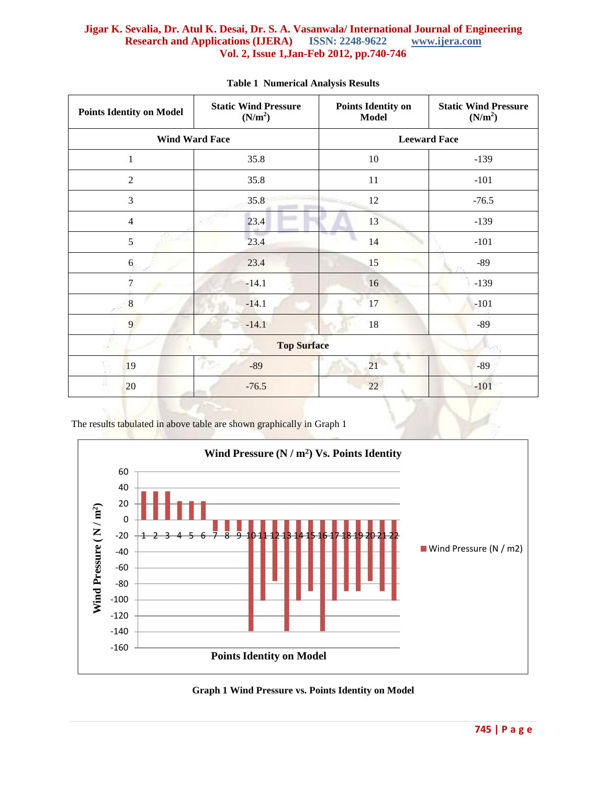| <b>Points Identity on Model</b> | <b>Static Wind Pressure</b><br>(N/m <sup>2</sup> ) | <b>Points Identity on</b><br><b>Model</b> | <b>Static Wind Pressure</b><br>(N/m <sup>2</sup> ) |
|---------------------------------|----------------------------------------------------|-------------------------------------------|----------------------------------------------------|
| <b>Wind Ward Face</b>           |                                                    | <b>Leeward Face</b>                       |                                                    |
| $\mathbf{1}$                    | 35.8                                               | 10                                        | $-139$                                             |
| $\overline{2}$                  | 35.8                                               | 11                                        | $-101$                                             |
| 3                               | 35.8                                               | 12                                        | $-76.5$                                            |
| $\overline{4}$                  | 23.4                                               | 13                                        | $-139$                                             |
| 200<br>5                        | 23.4                                               | 14                                        | $-101$                                             |
| 6                               | 23.4                                               | 15                                        | $-89$                                              |
| $\overline{7}$                  | $-14.1$                                            | 16                                        | $-139$                                             |
| 8                               | $-14.1$                                            | 17                                        | $-101$                                             |
| 9                               | $-14.1$                                            | 18                                        | $-89$                                              |
| <b>Top Surface</b>              |                                                    |                                           |                                                    |
| 19                              | PP-<br>$-89$                                       | 21                                        | $-89$                                              |
| 20                              | $-76.5$                                            | 22                                        | $-101$                                             |

#### **Table 1 Numerical Analysis Results**

The results tabulated in above table are shown graphically in Graph 1